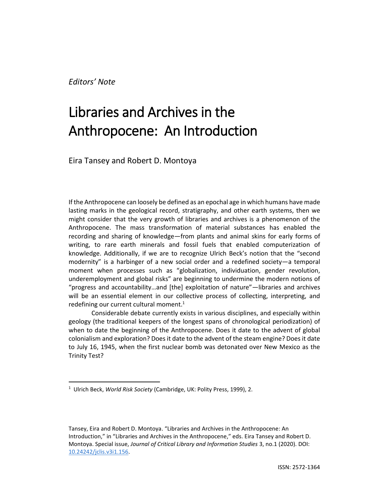*Editors' Note*

# Libraries and Archives in the Anthropocene: An Introduction

Eira Tansey and Robert D. Montoya

If the Anthropocene can loosely be defined as an epochal age in which humans have made lasting marks in the geological record, stratigraphy, and other earth systems, then we might consider that the very growth of libraries and archives is a phenomenon of the Anthropocene. The mass transformation of material substances has enabled the recording and sharing of knowledge—from plants and animal skins for early forms of writing, to rare earth minerals and fossil fuels that enabled computerization of knowledge. Additionally, if we are to recognize Ulrich Beck's notion that the "second modernity" is a harbinger of a new social order and a redefined society—a temporal moment when processes such as "globalization, individuation, gender revolution, underemployment and global risks" are beginning to undermine the modern notions of "progress and accountability…and [the] exploitation of nature"—libraries and archives will be an essential element in our collective process of collecting, interpreting, and redefining our current cultural moment. $1$ 

Considerable debate currently exists in various disciplines, and especially within geology (the traditional keepers of the longest spans of chronological periodization) of when to date the beginning of the Anthropocene. Does it date to the advent of global colonialism and exploration? Does it date to the advent of the steam engine? Does it date to July 16, 1945, when the first nuclear bomb was detonated over New Mexico as the Trinity Test?

<sup>1</sup> Ulrich Beck, *World Risk Society* (Cambridge, UK: Polity Press, 1999), 2.

Tansey, Eira and Robert D. Montoya. "Libraries and Archives in the Anthropocene: An Introduction," in "Libraries and Archives in the Anthropocene," eds. Eira Tansey and Robert D. Montoya. Special issue, *Journal of Critical Library and Information Studies* 3, no.1 (2020). DOI: [10.24242/jclis.v3i1.156.](https://doi.org/10.24242/jclis.v3i1.156)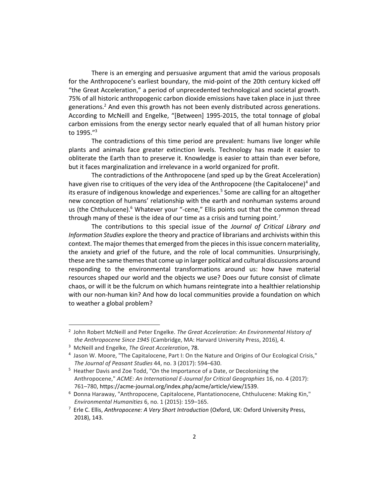There is an emerging and persuasive argument that amid the various proposals for the Anthropocene's earliest boundary, the mid-point of the 20th century kicked off "the Great Acceleration," a period of unprecedented technological and societal growth. 75% of all historic anthropogenic carbon dioxide emissions have taken place in just three generations.<sup>2</sup> And even this growth has not been evenly distributed across generations. According to McNeill and Engelke, "[Between] 1995-2015, the total tonnage of global carbon emissions from the energy sector nearly equaled that of all human history prior to 1995." 3

The contradictions of this time period are prevalent: humans live longer while plants and animals face greater extinction levels. Technology has made it easier to obliterate the Earth than to preserve it. Knowledge is easier to attain than ever before, but it faces marginalization and irrelevance in a world organized for profit.

The contradictions of the Anthropocene (and sped up by the Great Acceleration) have given rise to critiques of the very idea of the Anthropocene (the Capitalocene)<sup>4</sup> and its erasure of indigenous knowledge and experiences.<sup>5</sup> Some are calling for an altogether new conception of humans' relationship with the earth and nonhuman systems around us (the Chthulucene).<sup>6</sup> Whatever your "-cene," Ellis points out that the common thread through many of these is the idea of our time as a crisis and turning point.<sup>7</sup>

The contributions to this special issue of the *Journal of Critical Library and Information Studies* explore the theory and practice of librarians and archivists within this context. The major themes that emerged from the pieces in this issue concern materiality, the anxiety and grief of the future, and the role of local communities. Unsurprisingly, these are the same themes that come up in larger political and cultural discussions around responding to the environmental transformations around us: how have material resources shaped our world and the objects we use? Does our future consist of climate chaos, or will it be the fulcrum on which humans reintegrate into a healthier relationship with our non-human kin? And how do local communities provide a foundation on which to weather a global problem?

<sup>2</sup> John Robert McNeill and Peter Engelke. *The Great Acceleration: An Environmental History of the Anthropocene Since 1945* (Cambridge, MA: Harvard University Press, 2016), 4.

<sup>3</sup> McNeill and Engelke, *The Great Acceleration*, 78.

<sup>4</sup> Jason W. Moore, "The Capitalocene, Part I: On the Nature and Origins of Our Ecological Crisis," *The Journal of Peasant Studies* 44, no. 3 (2017): 594–630.

<sup>5</sup> Heather Davis and Zoe Todd, "On the Importance of a Date, or Decolonizing the Anthropocene," *ACME: An International E-Journal for Critical Geographies* 16, no. 4 (2017): 761–780, https://acme-journal.org/index.php/acme/article/view/1539.

<sup>6</sup> Donna Haraway, "Anthropocene, Capitalocene, Plantationocene, Chthulucene: Making Kin," *Environmental Humanities* 6, no. 1 (2015): 159–165.

<sup>7</sup> Erle C. Ellis, *Anthropocene: A Very Short Introduction* (Oxford, UK: Oxford University Press, 2018), 143.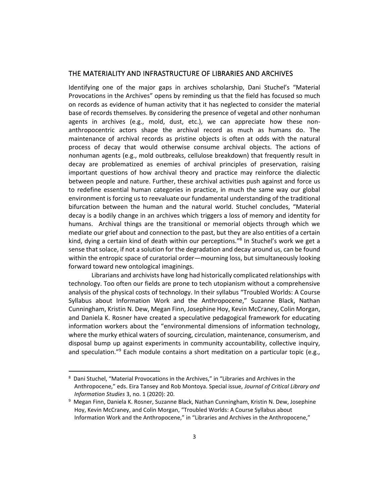#### THE MATERIALITY AND INFRASTRUCTURE OF LIBRARIES AND ARCHIVES

Identifying one of the major gaps in archives scholarship, Dani Stuchel's "Material Provocations in the Archives" opens by reminding us that the field has focused so much on records as evidence of human activity that it has neglected to consider the material base of records themselves. By considering the presence of vegetal and other nonhuman agents in archives (e.g., mold, dust, etc.), we can appreciate how these nonanthropocentric actors shape the archival record as much as humans do. The maintenance of archival records as pristine objects is often at odds with the natural process of decay that would otherwise consume archival objects. The actions of nonhuman agents (e.g., mold outbreaks, cellulose breakdown) that frequently result in decay are problematized as enemies of archival principles of preservation, raising important questions of how archival theory and practice may reinforce the dialectic between people and nature. Further, these archival activities push against and force us to redefine essential human categories in practice, in much the same way our global environment is forcing us to reevaluate our fundamental understanding of the traditional bifurcation between the human and the natural world. Stuchel concludes, "Material decay is a bodily change in an archives which triggers a loss of memory and identity for humans. Archival things are the transitional or memorial objects through which we mediate our grief about and connection to the past, but they are also entities of a certain kind, dying a certain kind of death within our perceptions." 8 In Stuchel's work we get a sense that solace, if not a solution for the degradation and decay around us, can be found within the entropic space of curatorial order—mourning loss, but simultaneously looking forward toward new ontological imaginings.

Librarians and archivists have long had historically complicated relationships with technology. Too often our fields are prone to tech utopianism without a comprehensive analysis of the physical costs of technology. In their syllabus "Troubled Worlds: A Course Syllabus about Information Work and the Anthropocene," Suzanne Black, Nathan Cunningham, Kristin N. Dew, Megan Finn, Josephine Hoy, Kevin McCraney, Colin Morgan, and Daniela K. Rosner have created a speculative pedagogical framework for educating information workers about the "environmental dimensions of information technology, where the murky ethical waters of sourcing, circulation, maintenance, consumerism, and disposal bump up against experiments in community accountability, collective inquiry, and speculation." <sup>9</sup> Each module contains a short meditation on a particular topic (e.g.,

<sup>8</sup> Dani Stuchel, "Material Provocations in the Archives," in "Libraries and Archives in the Anthropocene," eds. Eira Tansey and Rob Montoya. Special issue, *Journal of Critical Library and Information Studies* 3, no. 1 (2020): 20.

<sup>&</sup>lt;sup>9</sup> Megan Finn, Daniela K. Rosner, Suzanne Black, Nathan Cunningham, Kristin N. Dew, Josephine Hoy, Kevin McCraney, and Colin Morgan, "Troubled Worlds: A Course Syllabus about Information Work and the Anthropocene," in "Libraries and Archives in the Anthropocene,"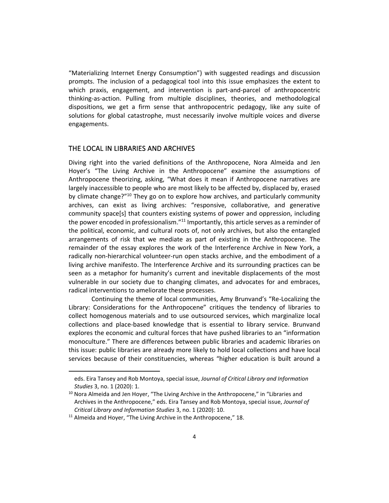"Materializing Internet Energy Consumption") with suggested readings and discussion prompts. The inclusion of a pedagogical tool into this issue emphasizes the extent to which praxis, engagement, and intervention is part-and-parcel of anthropocentric thinking-as-action. Pulling from multiple disciplines, theories, and methodological dispositions, we get a firm sense that anthropocentric pedagogy, like any suite of solutions for global catastrophe, must necessarily involve multiple voices and diverse engagements.

## THE LOCAL IN LIBRARIES AND ARCHIVES

Diving right into the varied definitions of the Anthropocene, Nora Almeida and Jen Hoyer's "The Living Archive in the Anthropocene" examine the assumptions of Anthropocene theorizing, asking, "What does it mean if Anthropocene narratives are largely inaccessible to people who are most likely to be affected by, displaced by, erased by climate change?"<sup>10</sup> They go on to explore how archives, and particularly community archives, can exist as living archives: "responsive, collaborative, and generative community space[s] that counters existing systems of power and oppression, including the power encoded in professionalism."<sup>11</sup> Importantly, this article serves as a reminder of the political, economic, and cultural roots of, not only archives, but also the entangled arrangements of risk that we mediate as part of existing in the Anthropocene. The remainder of the essay explores the work of the Interference Archive in New York, a radically non-hierarchical volunteer-run open stacks archive, and the embodiment of a living archive manifesto. The Interference Archive and its surrounding practices can be seen as a metaphor for humanity's current and inevitable displacements of the most vulnerable in our society due to changing climates, and advocates for and embraces, radical interventions to ameliorate these processes.

Continuing the theme of local communities, Amy Brunvand's "Re-Localizing the Library: Considerations for the Anthropocene" critiques the tendency of libraries to collect homogenous materials and to use outsourced services, which marginalize local collections and place-based knowledge that is essential to library service. Brunvand explores the economic and cultural forces that have pushed libraries to an "information monoculture." There are differences between public libraries and academic libraries on this issue: public libraries are already more likely to hold local collections and have local services because of their constituencies, whereas "higher education is built around a

eds. Eira Tansey and Rob Montoya, special issue, *Journal of Critical Library and Information Studies* 3, no. 1 (2020): 1.

<sup>&</sup>lt;sup>10</sup> Nora Almeida and Jen Hoyer, "The Living Archive in the Anthropocene," in "Libraries and Archives in the Anthropocene," eds. Eira Tansey and Rob Montoya, special issue, *Journal of Critical Library and Information Studies* 3, no. 1 (2020): 10.

 $11$  Almeida and Hoyer, "The Living Archive in the Anthropocene," 18.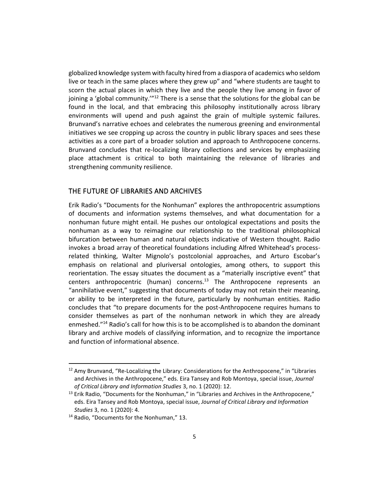globalized knowledge system with faculty hired from a diaspora of academics who seldom live or teach in the same places where they grew up" and "where students are taught to scorn the actual places in which they live and the people they live among in favor of joining a 'global community."<sup>12</sup> There is a sense that the solutions for the global can be found in the local, and that embracing this philosophy institutionally across library environments will upend and push against the grain of multiple systemic failures. Brunvand's narrative echoes and celebrates the numerous greening and environmental initiatives we see cropping up across the country in public library spaces and sees these activities as a core part of a broader solution and approach to Anthropocene concerns. Brunvand concludes that re-localizing library collections and services by emphasizing place attachment is critical to both maintaining the relevance of libraries and strengthening community resilience.

## THE FUTURE OF LIBRARIES AND ARCHIVES

Erik Radio's "Documents for the Nonhuman" explores the anthropocentric assumptions of documents and information systems themselves, and what documentation for a nonhuman future might entail. He pushes our ontological expectations and posits the nonhuman as a way to reimagine our relationship to the traditional philosophical bifurcation between human and natural objects indicative of Western thought. Radio invokes a broad array of theoretical foundations including Alfred Whitehead's processrelated thinking, Walter Mignolo's postcolonial approaches, and Arturo Escobar's emphasis on relational and pluriversal ontologies, among others, to support this reorientation. The essay situates the document as a "materially inscriptive event" that centers anthropocentric (human) concerns.<sup>13</sup> The Anthropocene represents an "annihilative event," suggesting that documents of today may not retain their meaning, or ability to be interpreted in the future, particularly by nonhuman entities. Radio concludes that "to prepare documents for the post-Anthropocene requires humans to consider themselves as part of the nonhuman network in which they are already enmeshed." <sup>14</sup> Radio's call for how this is to be accomplished is to abandon the dominant library and archive models of classifying information, and to recognize the importance and function of informational absence.

 $12$  Amy Brunvand, "Re-Localizing the Library: Considerations for the Anthropocene," in "Libraries and Archives in the Anthropocene," eds. Eira Tansey and Rob Montoya, special issue, *Journal of Critical Library and Information Studies* 3, no. 1 (2020): 12.

 $13$  Erik Radio, "Documents for the Nonhuman," in "Libraries and Archives in the Anthropocene," eds. Eira Tansey and Rob Montoya, special issue, *Journal of Critical Library and Information Studies* 3, no. 1 (2020): 4.

<sup>&</sup>lt;sup>14</sup> Radio, "Documents for the Nonhuman," 13.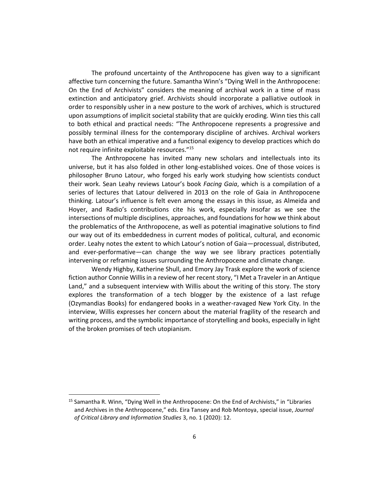The profound uncertainty of the Anthropocene has given way to a significant affective turn concerning the future. Samantha Winn's "Dying Well in the Anthropocene: On the End of Archivists" considers the meaning of archival work in a time of mass extinction and anticipatory grief. Archivists should incorporate a palliative outlook in order to responsibly usher in a new posture to the work of archives, which is structured upon assumptions of implicit societal stability that are quickly eroding. Winn ties this call to both ethical and practical needs: "The Anthropocene represents a progressive and possibly terminal illness for the contemporary discipline of archives. Archival workers have both an ethical imperative and a functional exigency to develop practices which do not require infinite exploitable resources."<sup>15</sup>

The Anthropocene has invited many new scholars and intellectuals into its universe, but it has also folded in other long-established voices. One of those voices is philosopher Bruno Latour, who forged his early work studying how scientists conduct their work. Sean Leahy reviews Latour's book *Facing Gaia*, which is a compilation of a series of lectures that Latour delivered in 2013 on the role of Gaia in Anthropocene thinking. Latour's influence is felt even among the essays in this issue, as Almeida and Hoyer, and Radio's contributions cite his work, especially insofar as we see the intersections of multiple disciplines, approaches, and foundations for how we think about the problematics of the Anthropocene, as well as potential imaginative solutions to find our way out of its embeddedness in current modes of political, cultural, and economic order. Leahy notes the extent to which Latour's notion of Gaia—processual, distributed, and ever-performative—can change the way we see library practices potentially intervening or reframing issues surrounding the Anthropocene and climate change.

Wendy Highby, Katherine Shull, and Emory Jay Trask explore the work of science fiction author Connie Willis in a review of her recent story, "I Met a Traveler in an Antique Land," and a subsequent interview with Willis about the writing of this story. The story explores the transformation of a tech blogger by the existence of a last refuge (Ozymandias Books) for endangered books in a weather-ravaged New York City. In the interview, Willis expresses her concern about the material fragility of the research and writing process, and the symbolic importance of storytelling and books, especially in light of the broken promises of tech utopianism.

<sup>&</sup>lt;sup>15</sup> Samantha R. Winn, "Dying Well in the Anthropocene: On the End of Archivists," in "Libraries and Archives in the Anthropocene," eds. Eira Tansey and Rob Montoya, special issue, *Journal of Critical Library and Information Studies* 3, no. 1 (2020): 12.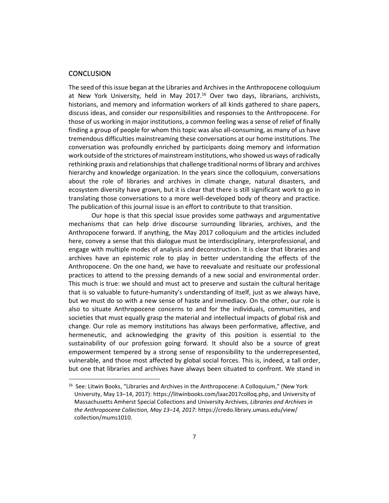#### **CONCLUSION**

The seed of this issue began at the Libraries and Archives in the Anthropocene colloquium at New York University, held in May 2017.<sup>16</sup> Over two days, librarians, archivists, historians, and memory and information workers of all kinds gathered to share papers, discuss ideas, and consider our responsibilities and responses to the Anthropocene. For those of us working in major institutions, a common feeling was a sense of relief of finally finding a group of people for whom this topic was also all-consuming, as many of us have tremendous difficulties mainstreaming these conversations at our home institutions. The conversation was profoundly enriched by participants doing memory and information work outside of the strictures of mainstream institutions, who showed us ways of radically rethinking praxis and relationships that challenge traditional norms of library and archives hierarchy and knowledge organization. In the years since the colloquium, conversations about the role of libraries and archives in climate change, natural disasters, and ecosystem diversity have grown, but it is clear that there is still significant work to go in translating those conversations to a more well-developed body of theory and practice. The publication of this journal issue is an effort to contribute to that transition.

Our hope is that this special issue provides some pathways and argumentative mechanisms that can help drive discourse surrounding libraries, archives, and the Anthropocene forward. If anything, the May 2017 colloquium and the articles included here, convey a sense that this dialogue must be interdisciplinary, interprofessional, and engage with multiple modes of analysis and deconstruction. It is clear that libraries and archives have an epistemic role to play in better understanding the effects of the Anthropocene. On the one hand, we have to reevaluate and resituate our professional practices to attend to the pressing demands of a new social and environmental order. This much is true: we should and must act to preserve and sustain the cultural heritage that is so valuable to future-humanity's understanding of itself, just as we always have, but we must do so with a new sense of haste and immediacy. On the other, our role is also to situate Anthropocene concerns to and for the individuals, communities, and societies that must equally grasp the material and intellectual impacts of global risk and change. Our role as memory institutions has always been performative, affective, and hermeneutic, and acknowledging the gravity of this position is essential to the sustainability of our profession going forward. It should also be a source of great empowerment tempered by a strong sense of responsibility to the underrepresented, vulnerable, and those most affected by global social forces. This is, indeed, a tall order, but one that libraries and archives have always been situated to confront. We stand in

<sup>&</sup>lt;sup>16</sup> See: Litwin Books, "Libraries and Archives in the Anthropocene: A Colloquium," (New York University, May 13–14, 2017): https://litwinbooks.com/laac2017colloq.php, and University of Massachusetts Amherst Special Collections and University Archives, *Libraries and Archives in the Anthropocene Collection, May 13–14, 2017*: https://credo.library.umass.edu/view/ collection/mums1010.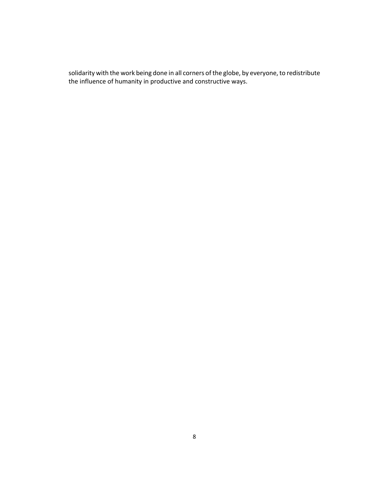solidarity with the work being done in all corners of the globe, by everyone, to redistribute the influence of humanity in productive and constructive ways.